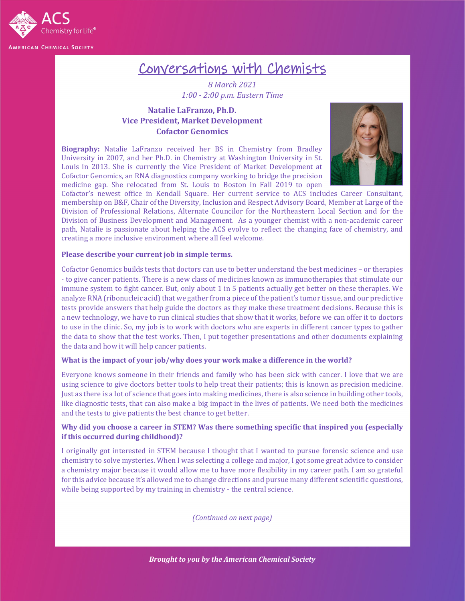

# Conversations with Chemists

*8 March 2021 1:00 - 2:00 p.m. Eastern Time*

# **Natalie LaFranzo, Ph.D. Vice President, Market Development Cofactor Genomics**

**Biography:** Natalie LaFranzo received her BS in Chemistry from Bradley University in 2007, and her Ph.D. in Chemistry at Washington University in St. Louis in 2013. She is currently the Vice President of Market Development at Cofactor Genomics, an RNA diagnostics company working to bridge the precision medicine gap. She relocated from St. Louis to Boston in Fall 2019 to open



Cofactor's newest office in Kendall Square. Her current service to ACS includes Career Consultant, membership on B&F, Chair of the Diversity, Inclusion and Respect Advisory Board, Member at Large of the Division of Professional Relations, Alternate Councilor for the Northeastern Local Section and for the Division of Business Development and Management. As a younger chemist with a non-academic career path, Natalie is passionate about helping the ACS evolve to reflect the changing face of chemistry, and creating a more inclusive environment where all feel welcome.

### **Please describe your current job in simple terms.**

Cofactor Genomics builds tests that doctors can use to better understand the best medicines – or therapies - to give cancer patients. There is a new class of medicines known as immunotherapies that stimulate our immune system to fight cancer. But, only about 1 in 5 patients actually get better on these therapies. We analyze RNA (ribonucleic acid) that we gather from a piece of the patient's tumor tissue, and our predictive tests provide answers that help guide the doctors as they make these treatment decisions. Because this is a new technology, we have to run clinical studies that show that it works, before we can offer it to doctors to use in the clinic. So, my job is to work with doctors who are experts in different cancer types to gather the data to show that the test works. Then, I put together presentations and other documents explaining the data and how it will help cancer patients.

#### **What is the impact of your job/why does your work make a difference in the world?**

Everyone knows someone in their friends and family who has been sick with cancer. I love that we are using science to give doctors better tools to help treat their patients; this is known as precision medicine. Just as there is a lot of science that goes into making medicines, there is also science in building other tools, like diagnostic tests, that can also make a big impact in the lives of patients. We need both the medicines and the tests to give patients the best chance to get better.

# **Why did you choose a career in STEM? Was there something specific that inspired you (especially if this occurred during childhood)?**

I originally got interested in STEM because I thought that I wanted to pursue forensic science and use chemistry to solve mysteries. When I was selecting a college and major, I got some great advice to consider a chemistry major because it would allow me to have more flexibility in my career path. I am so grateful for this advice because it's allowed me to change directions and pursue many different scientific questions, while being supported by my training in chemistry - the central science.

*(Continued on next page)*

*Brought to you by the American Chemical Society*